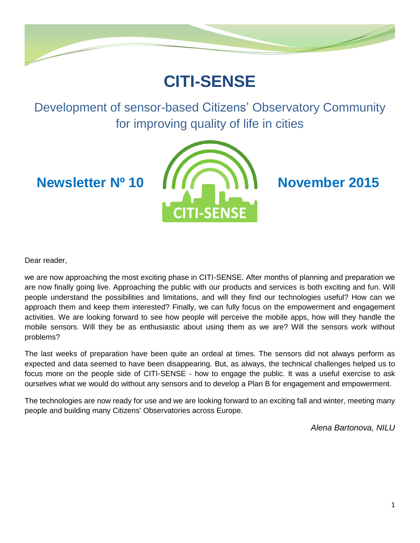

# **CITI-SENSE**

Development of sensor-based Citizens' Observatory Community for improving quality of life in cities



Dear reader,

we are now approaching the most exciting phase in CITI-SENSE. After months of planning and preparation we are now finally going live. Approaching the public with our products and services is both exciting and fun. Will people understand the possibilities and limitations, and will they find our technologies useful? How can we approach them and keep them interested? Finally, we can fully focus on the empowerment and engagement activities. We are looking forward to see how people will perceive the mobile apps, how will they handle the mobile sensors. Will they be as enthusiastic about using them as we are? Will the sensors work without problems?

The last weeks of preparation have been quite an ordeal at times. The sensors did not always perform as expected and data seemed to have been disappearing. But, as always, the technical challenges helped us to focus more on the people side of CITI-SENSE - how to engage the public. It was a useful exercise to ask ourselves what we would do without any sensors and to develop a Plan B for engagement and empowerment.

The technologies are now ready for use and we are looking forward to an exciting fall and winter, meeting many people and building many Citizens' Observatories across Europe.

*Alena Bartonova, NILU*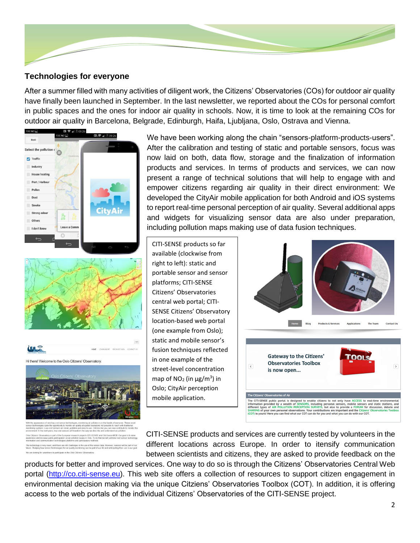

### **Technologies for everyone**

After a summer filled with many activities of diligent work, the Citizens' Observatories (COs) for outdoor air quality have finally been launched in September. In the last newsletter, we reported about the COs for personal comfort in public spaces and the ones for indoor air quality in schools. Now, it is time to look at the remaining COs for outdoor air quality in Barcelona, Belgrade, Edinburgh, Haifa, Ljubljana, Oslo, Ostrava and Vienna.





**ULE** Hi there! Welcome to the Oslo Citizens' Observatory

We have been working along the chain "sensors-platform-products-users". After the calibration and testing of static and portable sensors, focus was now laid on both, data flow, storage and the finalization of information products and services. In terms of products and services, we can now present a range of technical solutions that will help to engage with and empower citizens regarding air quality in their direct environment: We developed the CityAir mobile application for both Android and iOS systems to report real-time personal perception of air quality. Several additional apps and widgets for visualizing sensor data are also under preparation, including pollution maps making use of data fusion techniques.

CITI-SENSE products so far available (clockwise from right to left): static and portable sensor and sensor platforms; CITI-SENSE Citizens' Observatories central web portal; CITI-SENSE Citizens' Observatory location-based web portal (one example from Oslo); static and mobile sensor's fusion techniques reflected in one example of the street-level concentration map of  $NO<sub>2</sub>$  (in  $\mu$ g/m<sup>3</sup>) in Oslo; CityAir perception mobile application.



CITI-SENSE products and services are currently tested by volunteers in the different locations across Europe. In order to itensify communication between scientists and citizens, they are asked to provide feedback on the

products for better and improved services. One way to do so is through the Citizens' Observatories Central Web portal [\(http://co.citi-sense.eu\)](http://co.citi-sense.eu/). This web site offers a collection of resources to support citizen engagement in environmental decision making via the unique Citziens' Observatories Toolbox (COT). In addition, it is offering access to the web portals of the individual Citizens' Observatories of the CITI-SENSE project.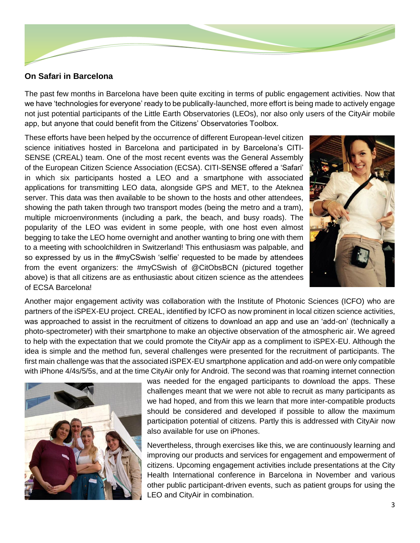

### **On Safari in Barcelona**

The past few months in Barcelona have been quite exciting in terms of public engagement activities. Now that we have 'technologies for everyone' ready to be publically-launched, more effort is being made to actively engage not just potential participants of the Little Earth Observatories (LEOs), nor also only users of the CityAir mobile app, but anyone that could benefit from the Citizens' Observatories Toolbox.

These efforts have been helped by the occurrence of different European-level citizen science initiatives hosted in Barcelona and participated in by Barcelona's CITI-SENSE (CREAL) team. One of the most recent events was the General Assembly of the European Citizen Science Association (ECSA). CITI-SENSE offered a 'Safari' in which six participants hosted a LEO and a smartphone with associated applications for transmitting LEO data, alongside GPS and MET, to the Ateknea server. This data was then available to be shown to the hosts and other attendees, showing the path taken through two transport modes (being the metro and a tram), multiple microenvironments (including a park, the beach, and busy roads). The popularity of the LEO was evident in some people, with one host even almost begging to take the LEO home overnight and another wanting to bring one with them to a meeting with schoolchildren in Switzerland! This enthusiasm was palpable, and so expressed by us in the #myCSwish 'selfie' requested to be made by attendees from the event organizers: the #myCSwish of @CitObsBCN (pictured together above) is that all citizens are as enthusiastic about citizen science as the attendees of ECSA Barcelona!



Another major engagement activity was collaboration with the Institute of Photonic Sciences (ICFO) who are partners of the iSPEX-EU project. CREAL, identified by ICFO as now prominent in local citizen science activities, was approached to assist in the recruitment of citizens to download an app and use an 'add-on' (technically a photo-spectrometer) with their smartphone to make an objective observation of the atmospheric air. We agreed to help with the expectation that we could promote the CityAir app as a compliment to iSPEX-EU. Although the idea is simple and the method fun, several challenges were presented for the recruitment of participants. The first main challenge was that the associated iSPEX-EU smartphone application and add-on were only compatible with iPhone 4/4s/5/5s, and at the time CityAir only for Android. The second was that roaming internet connection



was needed for the engaged participants to download the apps. These challenges meant that we were not able to recruit as many participants as we had hoped, and from this we learn that more inter-compatible products should be considered and developed if possible to allow the maximum participation potential of citizens. Partly this is addressed with CityAir now also available for use on iPhones.

Nevertheless, through exercises like this, we are continuously learning and improving our products and services for engagement and empowerment of citizens. Upcoming engagement activities include presentations at the City Health International conference in Barcelona in November and various other public participant-driven events, such as patient groups for using the LEO and CityAir in combination.